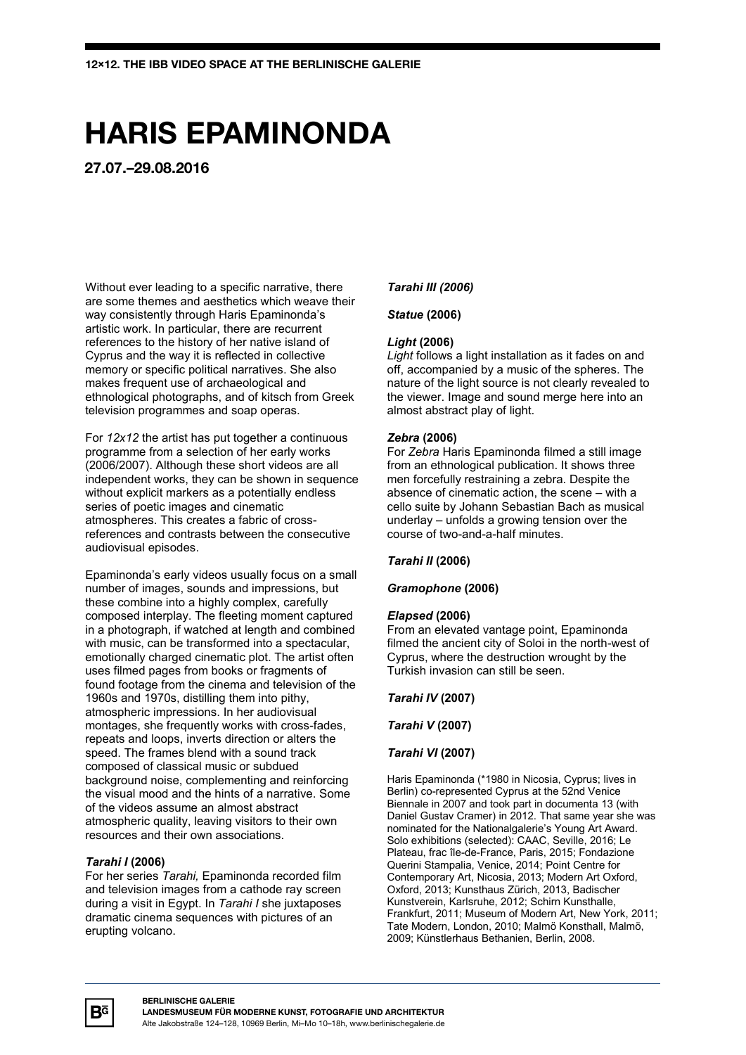# **HARIS EPAMINONDA**

**27.07.–29.08.2016**

Without ever leading to a specific narrative, there are some themes and aesthetics which weave their way consistently through Haris Epaminonda's artistic work. In particular, there are recurrent references to the history of her native island of Cyprus and the way it is reflected in collective memory or specific political narratives. She also makes frequent use of archaeological and ethnological photographs, and of kitsch from Greek television programmes and soap operas.

For *12x12* the artist has put together a continuous programme from a selection of her early works (2006/2007). Although these short videos are all independent works, they can be shown in sequence without explicit markers as a potentially endless series of poetic images and cinematic atmospheres. This creates a fabric of crossreferences and contrasts between the consecutive audiovisual episodes.

Epaminonda's early videos usually focus on a small number of images, sounds and impressions, but these combine into a highly complex, carefully composed interplay. The fleeting moment captured in a photograph, if watched at length and combined with music, can be transformed into a spectacular. emotionally charged cinematic plot. The artist often uses filmed pages from books or fragments of found footage from the cinema and television of the 1960s and 1970s, distilling them into pithy, atmospheric impressions. In her audiovisual montages, she frequently works with cross-fades, repeats and loops, inverts direction or alters the speed. The frames blend with a sound track composed of classical music or subdued background noise, complementing and reinforcing the visual mood and the hints of a narrative. Some of the videos assume an almost abstract atmospheric quality, leaving visitors to their own resources and their own associations.

## *Tarahi I* **(2006)**

For her series *Tarahi,* Epaminonda recorded film and television images from a cathode ray screen during a visit in Egypt. In *Tarahi I* she juxtaposes dramatic cinema sequences with pictures of an erupting volcano.

## *Tarahi III (2006)*

## *Statue* **(2006)**

## *Light* **(2006)**

*Light* follows a light installation as it fades on and off, accompanied by a music of the spheres. The nature of the light source is not clearly revealed to the viewer. Image and sound merge here into an almost abstract play of light.

## *Zebra* **(2006)**

For *Zebra* Haris Epaminonda filmed a still image from an ethnological publication. It shows three men forcefully restraining a zebra. Despite the absence of cinematic action, the scene – with a cello suite by Johann Sebastian Bach as musical underlay – unfolds a growing tension over the course of two-and-a-half minutes.

## *Tarahi II* **(2006)**

## *Gramophone* **(2006)**

## *Elapsed* **(2006)**

From an elevated vantage point, Epaminonda filmed the ancient city of Soloi in the north-west of Cyprus, where the destruction wrought by the Turkish invasion can still be seen.

## *Tarahi IV* **(2007)**

*Tarahi V* **(2007)**

## *Tarahi VI* **(2007)**

Haris Epaminonda (\*1980 in Nicosia, Cyprus; lives in Berlin) co-represented Cyprus at the 52nd Venice Biennale in 2007 and took part in documenta 13 (with Daniel Gustav Cramer) in 2012. That same year she was nominated for the Nationalgalerie's Young Art Award. Solo exhibitions (selected): CAAC, Seville, 2016; Le Plateau, frac île-de-France, Paris, 2015; Fondazione Querini Stampalia, Venice, 2014; Point Centre for Contemporary Art, Nicosia, 2013; Modern Art Oxford, Oxford, 2013; Kunsthaus Zürich, 2013, Badischer Kunstverein, Karlsruhe, 2012; Schirn Kunsthalle, Frankfurt, 2011; Museum of Modern Art, New York, 2011; Tate Modern, London, 2010; Malmö Konsthall, Malmö, 2009; Künstlerhaus Bethanien, Berlin, 2008.